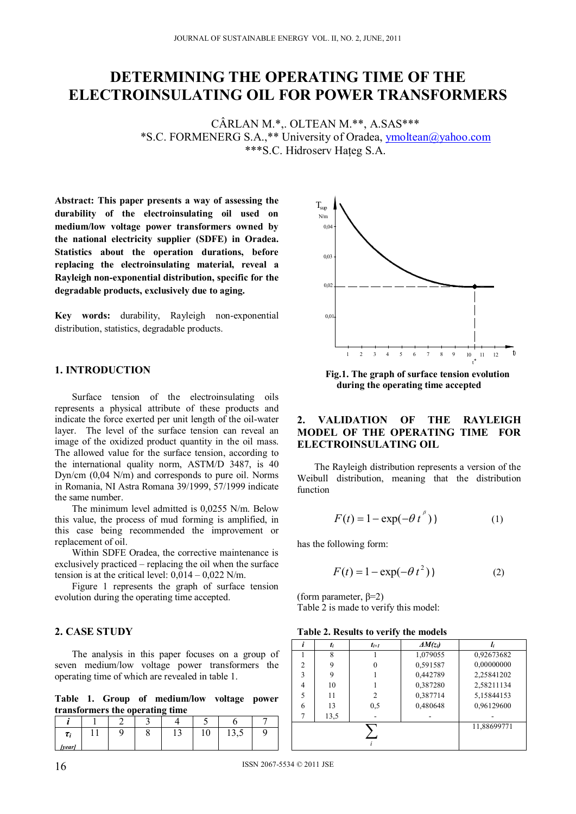# **DETERMINING THE OPERATING TIME OF THE ELECTROINSULATING OIL FOR POWER TRANSFORMERS**

CÂRLAN M.\*,. OLTEAN M.\*\*, A.SAS\*\*\* \*S.C. FORMENERG S.A.,\*\* University of Oradea, ymoltean@yahoo.com \*\*\*S.C. Hidroserv Hateg S.A.

**Abstract: This paper presents a way of assessing the durability of the electroinsulating oil used on medium/low voltage power transformers owned by the national electricity supplier (SDFE) in Oradea. Statistics about the operation durations, before replacing the electroinsulating material, reveal a Rayleigh non-exponential distribution, specific for the degradable products, exclusively due to aging.** 

**Key words:** durability, Rayleigh non-exponential distribution, statistics, degradable products.

### **1. INTRODUCTION**

Surface tension of the electroinsulating oils represents a physical attribute of these products and indicate the force exerted per unit length of the oil-water layer. The level of the surface tension can reveal an image of the oxidized product quantity in the oil mass. The allowed value for the surface tension, according to the international quality norm, ASTM/D 3487, is 40 Dyn/cm (0,04 N/m) and corresponds to pure oil. Norms in Romania, NI Astra Romana 39/1999, 57/1999 indicate the same number.

The minimum level admitted is 0,0255 N/m. Below this value, the process of mud forming is amplified, in this case being recommended the improvement or replacement of oil.

Within SDFE Oradea, the corrective maintenance is exclusively practiced – replacing the oil when the surface tension is at the critical level:  $0.014 - 0.022$  N/m.

Figure 1 represents the graph of surface tension evolution during the operating time accepted.

### **2. CASE STUDY**

The analysis in this paper focuses on a group of seven medium/low voltage power transformers the operating time of which are revealed in table 1.

**Table 1. Group of medium/low voltage power transformers the operating time** 

| $\tau$ | ч | . J | 1 <sub>0</sub> | 12.5<br>19,J |  |
|--------|---|-----|----------------|--------------|--|
| [vear] |   |     |                |              |  |



**Fig.1. The graph of surface tension evolution during the operating time accepted** 

## **2. VALIDATION OF THE RAYLEIGH MODEL OF THE OPERATING TIME FOR ELECTROINSULATING OIL**

The Rayleigh distribution represents a version of the Weibull distribution, meaning that the distribution function

$$
F(t) = 1 - \exp(-\theta t^{\beta})
$$
 (1)

has the following form:

$$
F(t) = 1 - \exp(-\theta t^2)
$$
 (2)

(form parameter,  $\beta=2$ ) Table 2 is made to verify this model:

|                | t <sub>i</sub> | $t_{i+1}$   | $\Delta M(z_i)$ |            |
|----------------|----------------|-------------|-----------------|------------|
|                | 8              |             | 1,079055        | 0,92673682 |
| $\overline{2}$ | 9              |             | 0,591587        | 0,00000000 |
| 3              | 9              |             | 0,442789        | 2,25841202 |
| 4              | 10             |             | 0,387280        | 2,58211134 |
| 5              | 11             |             | 0,387714        | 5,15844153 |
| 6              | 13             | 0.5         | 0,480648        | 0,96129600 |
|                | 13,5           |             |                 |            |
|                |                | 11,88699771 |                 |            |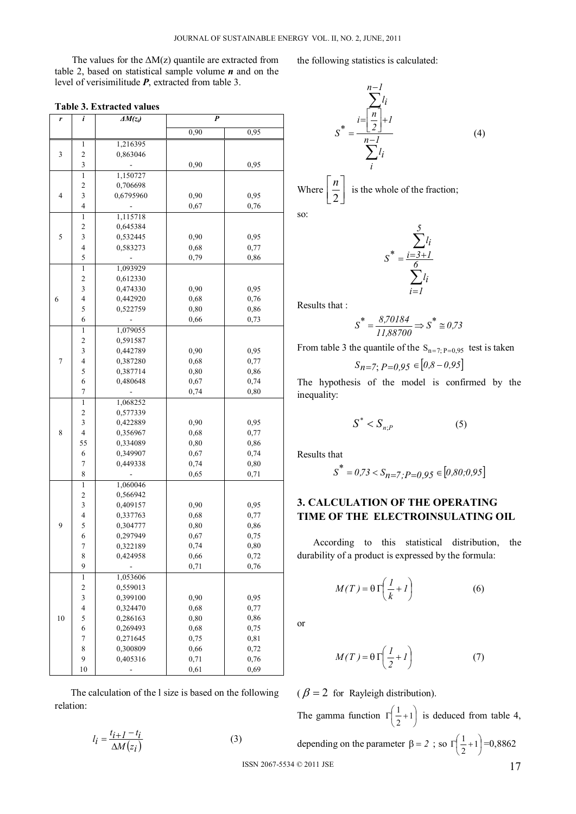The values for the  $\Delta M(z)$  quantile are extracted from table 2, based on statistical sample volume *n* and on the level of verisimilitude *P*, extracted from table 3.

| r                | i                        | $\Delta M(z_i)$      | P            |              |
|------------------|--------------------------|----------------------|--------------|--------------|
|                  |                          |                      | 0,90         | 0,95         |
|                  | 1                        | 1,216395             |              |              |
| 3                | $\overline{\mathbf{c}}$  | 0,863046             |              |              |
|                  | 3                        |                      | 0,90         | 0,95         |
|                  | $\,1\,$                  | 1,150727             |              |              |
|                  | $\overline{c}$           | 0,706698             |              |              |
| 3<br>4           |                          | 0,6795960            | 0,90         | 0,95         |
|                  | $\overline{\mathbf{4}}$  |                      | 0,67         | 0,76         |
|                  | 1                        | 1,115718             |              |              |
|                  | $\overline{\mathbf{c}}$  | 0,645384             |              |              |
| 5                | 3                        | 0,532445             | 0,90         | 0,95         |
|                  | $\overline{4}$           | 0,583273             | 0,68         | 0,77         |
|                  | 5                        |                      | 0,79         | 0,86         |
|                  | $\mathbf{1}$             | 1,093929             |              |              |
|                  | $\overline{\mathbf{c}}$  | 0,612330             |              |              |
|                  | 3<br>$\overline{4}$      | 0,474330             | 0,90         | 0,95         |
| 6                | 5                        | 0,442920             | 0,68         | 0,76         |
|                  | 6                        | 0,522759             | 0,80<br>0,66 | 0,86<br>0,73 |
|                  | $\mathbf{1}$             | 1,079055             |              |              |
|                  | $\overline{c}$           | 0,591587             |              |              |
|                  | 3                        | 0,442789             | 0.90         | 0,95         |
| $\boldsymbol{7}$ | $\overline{\mathbf{4}}$  | 0,387280             | 0,68         | 0,77         |
|                  | 5                        | 0,387714             | 0,80         | 0,86         |
|                  | 6                        | 0,480648             | 0,67         | 0,74         |
|                  | 7                        |                      | 0,74         | 0,80         |
|                  | 1                        | 1,068252             |              |              |
|                  | $\overline{\mathbf{c}}$  | 0,577339             |              |              |
|                  | 3                        | 0,422889             | 0,90         | 0,95         |
| 8                | $\overline{4}$           | 0,356967             | 0,68         | 0,77         |
|                  | 55                       | 0,334089             | 0,80         | 0,86         |
|                  | 6                        | 0,349907             | 0,67         | 0,74         |
|                  | $\boldsymbol{7}$         | 0,449338             | 0,74         | 0,80         |
|                  | 8                        |                      | 0,65         | 0,71         |
|                  | $\,1$                    | 1,060046             |              |              |
|                  | $\overline{\mathbf{c}}$  | 0,566942             |              |              |
|                  | 3                        | 0,409157             | 0,90         | 0,95         |
|                  | $\overline{\mathcal{L}}$ | 0,337763             | 0,68         | 0,77         |
| 9                | 5<br>6                   | 0,304777             | 0,80         | 0,86         |
|                  | 7                        | 0,297949<br>0,322189 | 0,67<br>0,74 | 0,75<br>0,80 |
|                  | 8                        | 0,424958             | 0,66         | 0,72         |
|                  | 9                        |                      | 0,71         | 0,76         |
|                  | $\,$ 1 $\,$              | 1,053606             |              |              |
|                  | $\overline{\mathbf{c}}$  | 0,559013             |              |              |
|                  | 3                        | 0,399100             | 0,90         | 0,95         |
|                  | $\overline{\mathbf{4}}$  | 0,324470             | 0,68         | 0,77         |
| 10               | 5                        | 0,286163             | 0,80         | 0,86         |
|                  | 6                        | 0,269493             | 0,68         | 0,75         |
|                  | $\overline{7}$           | 0,271645             | 0,75         | 0,81         |
|                  | 8                        | 0,300809             | 0,66         | 0,72         |
|                  | 9                        | 0,405316             | 0,71         | 0,76         |
|                  | 10                       |                      | 0,61         | 0,69         |

**Table 3. Extracted values** 

The calculation of the l size is based on the following relation:

$$
l_i = \frac{t_{i+1} - t_i}{\Delta M(z_i)}
$$
(3)

the following statistics is calculated:

$$
S^* = \frac{\sum_{i=\left[\frac{n}{2}\right]+1}^{n-1}}{\sum_{i=1}^{n-1} l_i}
$$
(4)

Where 
$$
\left\lfloor \frac{n}{2} \right\rfloor
$$
 is the whole of the fraction;  
so:

$$
S^* = \frac{\sum_{i=3+l}^{5} l_i}{\sum_{i=1}^{6} l_i}
$$

Results that :

$$
S^* = \frac{8,70184}{11,88700} \Rightarrow S^* \cong 0.73
$$

From table 3 the quantile of the  $S_{n=7;P=0,95}$  test is taken

$$
S_{n=7; P=0,95} \in [0.8 - 0.95]
$$

The hypothesis of the model is confirmed by the inequality:

$$
S^* < S_{n;P} \tag{5}
$$

Results that

$$
S^* = 0.73 < S_{n=7} \cdot P = 0.95 \in [0.80, 0.95]
$$

## **3. CALCULATION OF THE OPERATING TIME OF THE ELECTROINSULATING OIL**

According to this statistical distribution, the durability of a product is expressed by the formula:

$$
M(T) = \theta \Gamma \left( \frac{1}{k} + 1 \right) \tag{6}
$$

or

$$
M(T) = \theta \Gamma \left( \frac{I}{2} + I \right) \tag{7}
$$

( $\beta$  = 2 for Rayleigh distribution). The gamma function  $\Gamma\left(\frac{1}{2}+1\right)$  $\Gamma\left(\frac{1}{2}+1\right)$  is deduced from table 4, depending on the parameter  $\beta = 2$ ; so  $\Gamma\left(\frac{1}{2} + 1\right)$  $\Gamma\left(\frac{1}{2}+1\right) = 0,8862$